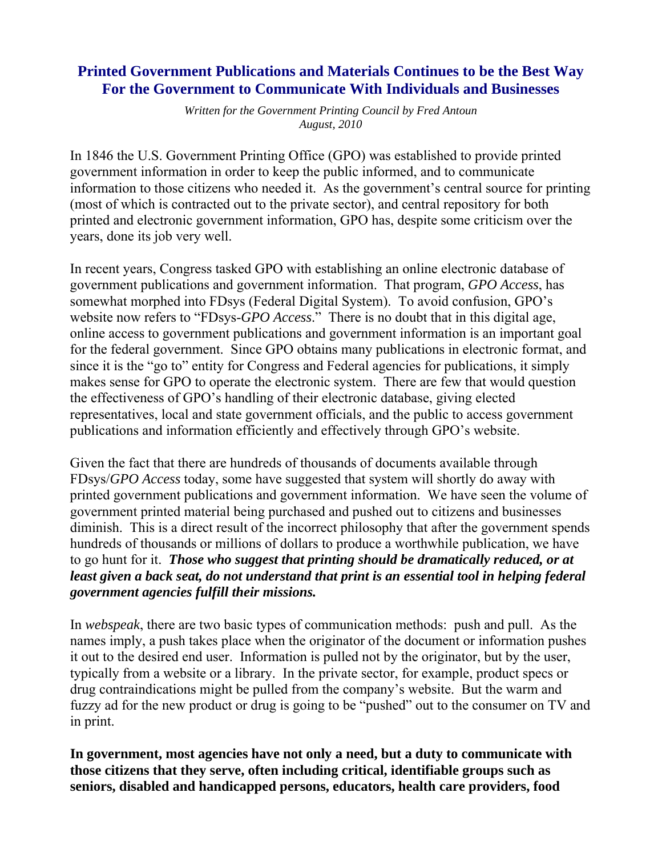## **Printed Government Publications and Materials Continues to be the Best Way For the Government to Communicate With Individuals and Businesses**

*Written for the Government Printing Council by Fred Antoun August, 2010*

In 1846 the U.S. Government Printing Office (GPO) was established to provide printed government information in order to keep the public informed, and to communicate information to those citizens who needed it. As the government's central source for printing (most of which is contracted out to the private sector), and central repository for both printed and electronic government information, GPO has, despite some criticism over the years, done its job very well.

In recent years, Congress tasked GPO with establishing an online electronic database of government publications and government information. That program, *GPO Access*, has somewhat morphed into FDsys (Federal Digital System). To avoid confusion, GPO's website now refers to "FDsys-*GPO Access*." There is no doubt that in this digital age, online access to government publications and government information is an important goal for the federal government. Since GPO obtains many publications in electronic format, and since it is the "go to" entity for Congress and Federal agencies for publications, it simply makes sense for GPO to operate the electronic system. There are few that would question the effectiveness of GPO's handling of their electronic database, giving elected representatives, local and state government officials, and the public to access government publications and information efficiently and effectively through GPO's website.

Given the fact that there are hundreds of thousands of documents available through FDsys/*GPO Access* today, some have suggested that system will shortly do away with printed government publications and government information. We have seen the volume of government printed material being purchased and pushed out to citizens and businesses diminish. This is a direct result of the incorrect philosophy that after the government spends hundreds of thousands or millions of dollars to produce a worthwhile publication, we have to go hunt for it. *Those who suggest that printing should be dramatically reduced, or at least given a back seat, do not understand that print is an essential tool in helping federal government agencies fulfill their missions.*

In *webspeak*, there are two basic types of communication methods: push and pull. As the names imply, a push takes place when the originator of the document or information pushes it out to the desired end user. Information is pulled not by the originator, but by the user, typically from a website or a library. In the private sector, for example, product specs or drug contraindications might be pulled from the company's website. But the warm and fuzzy ad for the new product or drug is going to be "pushed" out to the consumer on TV and in print.

**In government, most agencies have not only a need, but a duty to communicate with those citizens that they serve, often including critical, identifiable groups such as seniors, disabled and handicapped persons, educators, health care providers, food**